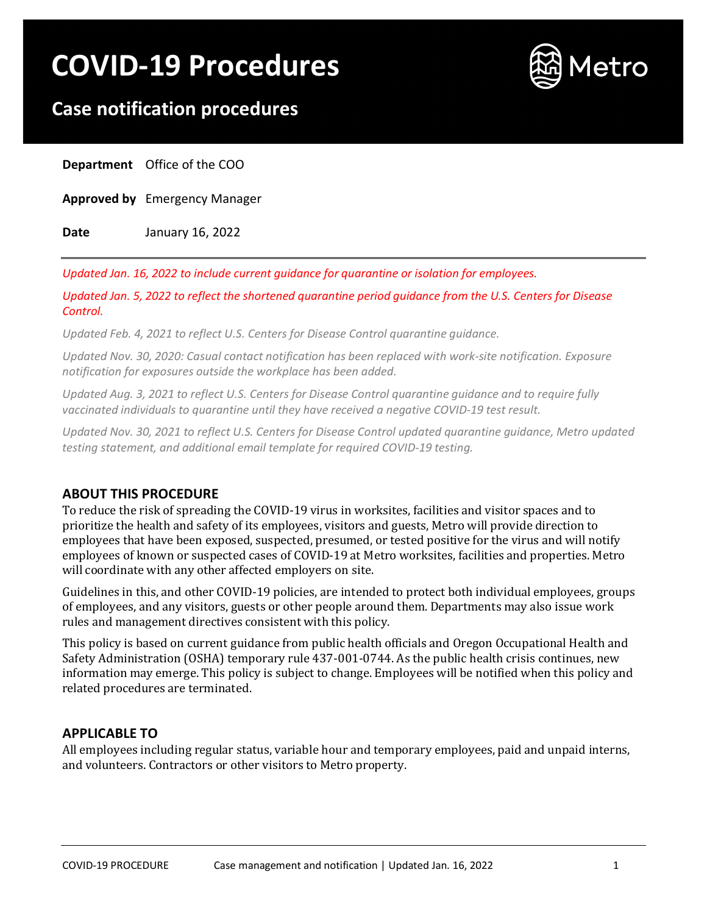# **COVID-19 Procedures**



# **Case notification procedures**

**Department** Office of the COO

**Approved by** Emergency Manager

**Date** January 16, 2022

*Updated Jan. 16, 2022 to include current guidance for quarantine or isolation for employees.*

*Updated Jan. 5, 2022 to reflect the shortened quarantine period guidance from the U.S. Centers for Disease Control.*

*Updated Feb. 4, 2021 to reflect U.S. Centers for Disease Control quarantine guidance.*

*Updated Nov. 30, 2020: Casual contact notification has been replaced with work-site notification. Exposure notification for exposures outside the workplace has been added.*

*Updated Aug. 3, 2021 to reflect U.S. Centers for Disease Control quarantine guidance and to require fully vaccinated individuals to quarantine until they have received a negative COVID-19 test result.*

*Updated Nov. 30, 2021 to reflect U.S. Centers for Disease Control updated quarantine guidance, Metro updated testing statement, and additional email template for required COVID-19 testing.*

## **ABOUT THIS PROCEDURE**

To reduce the risk of spreading the COVID-19 virus in worksites, facilities and visitor spaces and to prioritize the health and safety of its employees, visitors and guests, Metro will provide direction to employees that have been exposed, suspected, presumed, or tested positive for the virus and will notify employees of known or suspected cases of COVID-19 at Metro worksites, facilities and properties. Metro will coordinate with any other affected employers on site.

Guidelines in this, and other COVID-19 policies, are intended to protect both individual employees, groups of employees, and any visitors, guests or other people around them. Departments may also issue work rules and management directives consistent with this policy.

This policy is based on current guidance from public health officials and Oregon Occupational Health and Safety Administration (OSHA) temporary rule 437-001-0744. As the public health crisis continues, new information may emerge. This policy is subject to change. Employees will be notified when this policy and related procedures are terminated.

## **APPLICABLE TO**

All employees including regular status, variable hour and temporary employees, paid and unpaid interns, and volunteers. Contractors or other visitors to Metro property.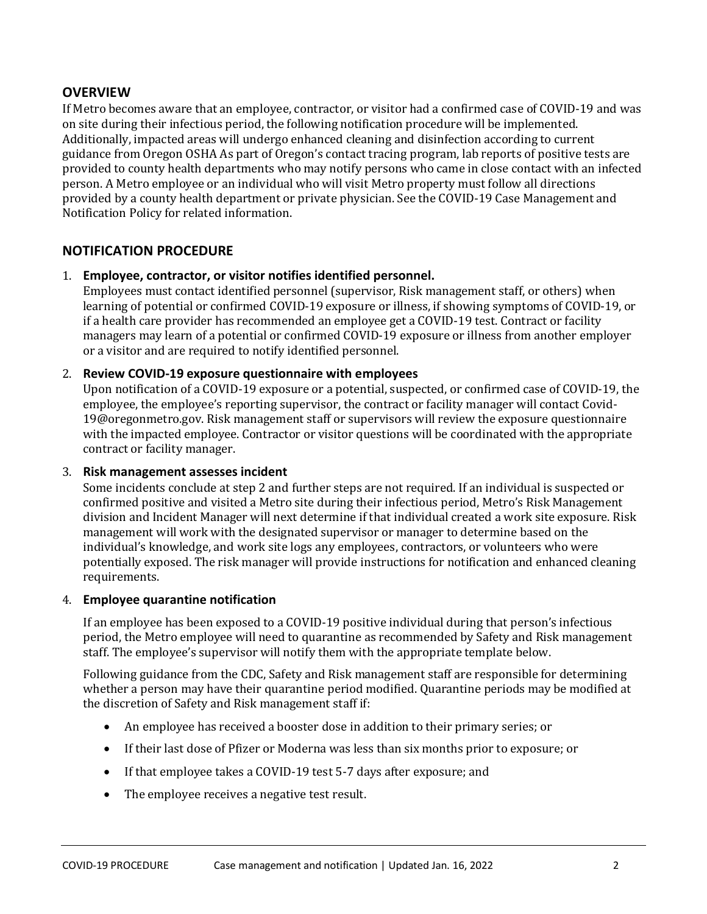## **OVERVIEW**

If Metro becomes aware that an employee, contractor, or visitor had a confirmed case of COVID-19 and was on site during their infectious period, the following notification procedure will be implemented. Additionally, impacted areas will undergo enhanced cleaning and disinfection according to current guidance from Oregon OSHA As part of Oregon's contact tracing program, lab reports of positive tests are provided to county health departments who may notify persons who came in close contact with an infected person. A Metro employee or an individual who will visit Metro property must follow all directions provided by a county health department or private physician. See the COVID-19 Case Management and Notification Policy for related information.

## **NOTIFICATION PROCEDURE**

## 1. **Employee, contractor, or visitor notifies identified personnel.**

Employees must contact identified personnel (supervisor, Risk management staff, or others) when learning of potential or confirmed COVID-19 exposure or illness, if showing symptoms of COVID-19, or if a health care provider has recommended an employee get a COVID-19 test. Contract or facility managers may learn of a potential or confirmed COVID-19 exposure or illness from another employer or a visitor and are required to notify identified personnel.

## 2. **Review COVID-19 exposure questionnaire with employees**

Upon notification of a COVID-19 exposure or a potential, suspected, or confirmed case of COVID-19, the employee, the employee's reporting supervisor, the contract or facility manager will contact Covid-19@oregonmetro.gov. Risk management staff or supervisors will review the exposure questionnaire with the impacted employee. Contractor or visitor questions will be coordinated with the appropriate contract or facility manager.

## 3. **Risk management assesses incident**

Some incidents conclude at step 2 and further steps are not required. If an individual is suspected or confirmed positive and visited a Metro site during their infectious period, Metro's Risk Management division and Incident Manager will next determine if that individual created a work site exposure. Risk management will work with the designated supervisor or manager to determine based on the individual's knowledge, and work site logs any employees, contractors, or volunteers who were potentially exposed. The risk manager will provide instructions for notification and enhanced cleaning requirements.

## 4. **Employee quarantine notification**

If an employee has been exposed to a COVID-19 positive individual during that person's infectious period, the Metro employee will need to quarantine as recommended by Safety and Risk management staff. The employee's supervisor will notify them with the appropriate template below.

Following guidance from the CDC, Safety and Risk management staff are responsible for determining whether a person may have their quarantine period modified. Quarantine periods may be modified at the discretion of Safety and Risk management staff if:

- An employee has received a booster dose in addition to their primary series; or
- If their last dose of Pfizer or Moderna was less than six months prior to exposure; or
- If that employee takes a COVID-19 test 5-7 days after exposure; and
- The employee receives a negative test result.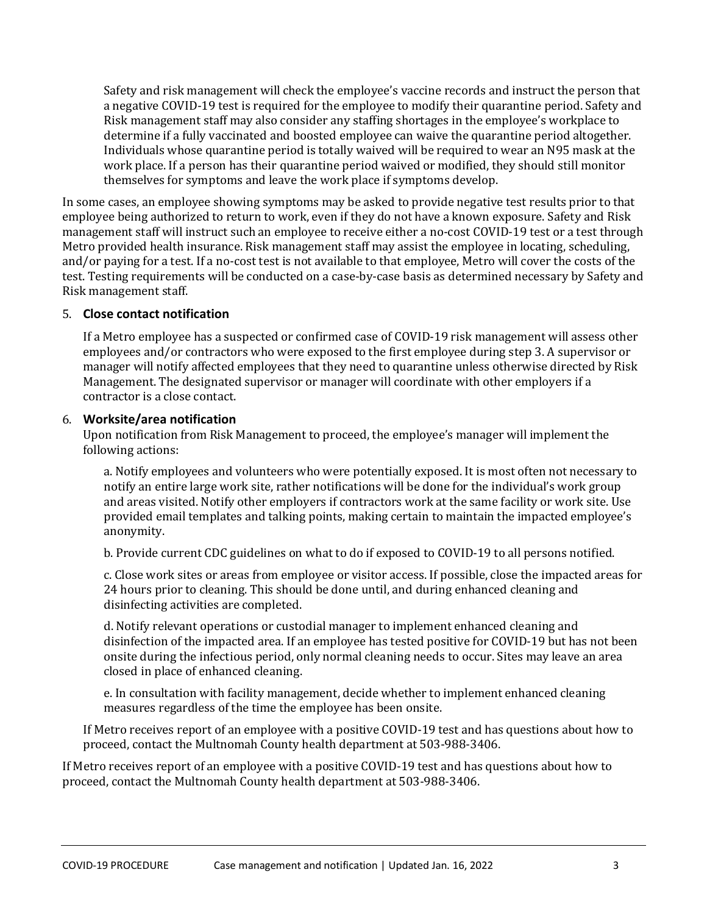Safety and risk management will check the employee's vaccine records and instruct the person that a negative COVID-19 test is required for the employee to modify their quarantine period. Safety and Risk management staff may also consider any staffing shortages in the employee's workplace to determine if a fully vaccinated and boosted employee can waive the quarantine period altogether. Individuals whose quarantine period is totally waived will be required to wear an N95 mask at the work place. If a person has their quarantine period waived or modified, they should still monitor themselves for symptoms and leave the work place if symptoms develop.

In some cases, an employee showing symptoms may be asked to provide negative test results prior to that employee being authorized to return to work, even if they do not have a known exposure. Safety and Risk management staff will instruct such an employee to receive either a no-cost COVID-19 test or a test through Metro provided health insurance. Risk management staff may assist the employee in locating, scheduling, and/or paying for a test. If a no-cost test is not available to that employee, Metro will cover the costs of the test. Testing requirements will be conducted on a case-by-case basis as determined necessary by Safety and Risk management staff.

## 5. **Close contact notification**

If a Metro employee has a suspected or confirmed case of COVID-19 risk management will assess other employees and/or contractors who were exposed to the first employee during step 3. A supervisor or manager will notify affected employees that they need to quarantine unless otherwise directed by Risk Management. The designated supervisor or manager will coordinate with other employers if a contractor is a close contact.

## 6. **Worksite/area notification**

Upon notification from Risk Management to proceed, the employee's manager will implement the following actions:

a. Notify employees and volunteers who were potentially exposed. It is most often not necessary to notify an entire large work site, rather notifications will be done for the individual's work group and areas visited. Notify other employers if contractors work at the same facility or work site. Use provided email templates and talking points, making certain to maintain the impacted employee's anonymity.

b. Provide current CDC guidelines on what to do if exposed to COVID-19 to all persons notified.

c. Close work sites or areas from employee or visitor access. If possible, close the impacted areas for 24 hours prior to cleaning. This should be done until, and during enhanced cleaning and disinfecting activities are completed.

d. Notify relevant operations or custodial manager to implement enhanced cleaning and disinfection of the impacted area. If an employee has tested positive for COVID-19 but has not been onsite during the infectious period, only normal cleaning needs to occur. Sites may leave an area closed in place of enhanced cleaning.

e. In consultation with facility management, decide whether to implement enhanced cleaning measures regardless of the time the employee has been onsite.

If Metro receives report of an employee with a positive COVID-19 test and has questions about how to proceed, contact the Multnomah County health department at 503-988-3406.

If Metro receives report of an employee with a positive COVID-19 test and has questions about how to proceed, contact the Multnomah County health department at 503-988-3406.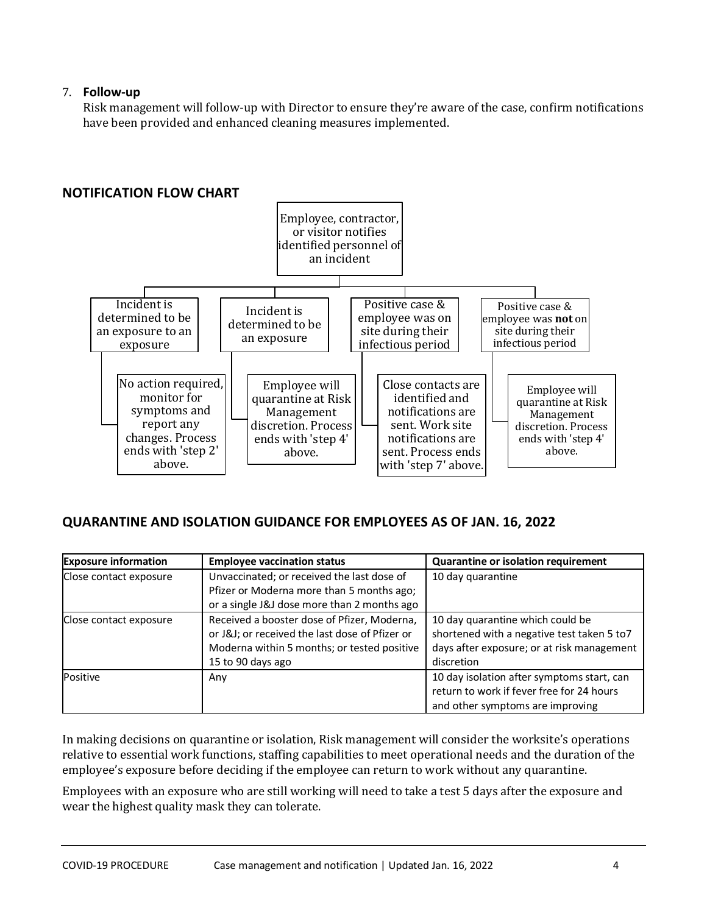## 7. **Follow-up**

Risk management will follow-up with Director to ensure they're aware of the case, confirm notifications have been provided and enhanced cleaning measures implemented.



## **QUARANTINE AND ISOLATION GUIDANCE FOR EMPLOYEES AS OF JAN. 16, 2022**

| <b>Exposure information</b> | <b>Employee vaccination status</b>                                                                                                                               | Quarantine or isolation requirement                                                                                                        |
|-----------------------------|------------------------------------------------------------------------------------------------------------------------------------------------------------------|--------------------------------------------------------------------------------------------------------------------------------------------|
| Close contact exposure      | Unvaccinated; or received the last dose of<br>Pfizer or Moderna more than 5 months ago;<br>or a single J&J dose more than 2 months ago                           | 10 day quarantine                                                                                                                          |
| Close contact exposure      | Received a booster dose of Pfizer, Moderna,<br>or J&J or received the last dose of Pfizer or<br>Moderna within 5 months; or tested positive<br>15 to 90 days ago | 10 day quarantine which could be<br>shortened with a negative test taken 5 to7<br>days after exposure; or at risk management<br>discretion |
| Positive                    | Any                                                                                                                                                              | 10 day isolation after symptoms start, can<br>return to work if fever free for 24 hours<br>and other symptoms are improving                |

In making decisions on quarantine or isolation, Risk management will consider the worksite's operations relative to essential work functions, staffing capabilities to meet operational needs and the duration of the employee's exposure before deciding if the employee can return to work without any quarantine.

Employees with an exposure who are still working will need to take a test 5 days after the exposure and wear the highest quality mask they can tolerate.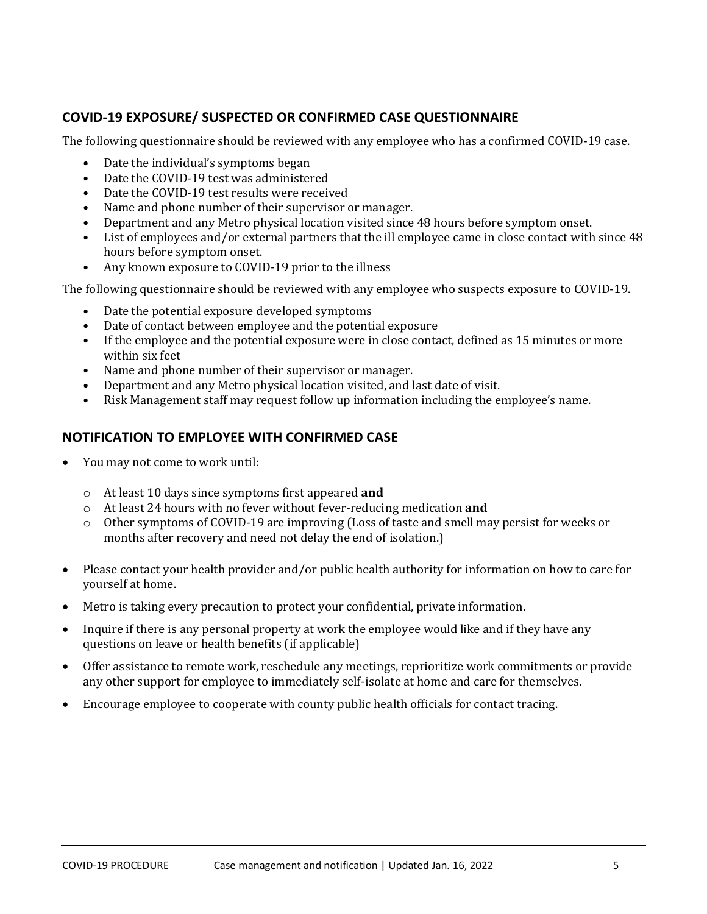## **COVID-19 EXPOSURE/ SUSPECTED OR CONFIRMED CASE QUESTIONNAIRE**

The following questionnaire should be reviewed with any employee who has a confirmed COVID-19 case.

- Date the individual's symptoms began
- Date the COVID-19 test was administered
- Date the COVID-19 test results were received
- Name and phone number of their supervisor or manager.
- Department and any Metro physical location visited since 48 hours before symptom onset.
- List of employees and/or external partners that the ill employee came in close contact with since 48 hours before symptom onset.
- Any known exposure to COVID-19 prior to the illness

The following questionnaire should be reviewed with any employee who suspects exposure to COVID-19.

- Date the potential exposure developed symptoms
- Date of contact between employee and the potential exposure
- If the employee and the potential exposure were in close contact, defined as 15 minutes or more within six feet
- Name and phone number of their supervisor or manager.<br>• Department and any Metro physical location visited, and l
- Department and any Metro physical location visited, and last date of visit.
- Risk Management staff may request follow up information including the employee's name.

## **NOTIFICATION TO EMPLOYEE WITH CONFIRMED CASE**

- You may not come to work until:
	- o At least 10 days since symptoms first appeared **and**
	- o At least 24 hours with no fever without fever-reducing medication **and**
	- $\circ$  Other symptoms of COVID-19 are improving (Loss of taste and smell may persist for weeks or months after recovery and need not delay the end of isolation.)
- Please contact your health provider and/or public health authority for information on how to care for yourself at home.
- Metro is taking every precaution to protect your confidential, private information.
- Inquire if there is any personal property at work the employee would like and if they have any questions on leave or health benefits (if applicable)
- Offer assistance to remote work, reschedule any meetings, reprioritize work commitments or provide any other support for employee to immediately self-isolate at home and care for themselves.
- Encourage employee to cooperate with county public health officials for contact tracing.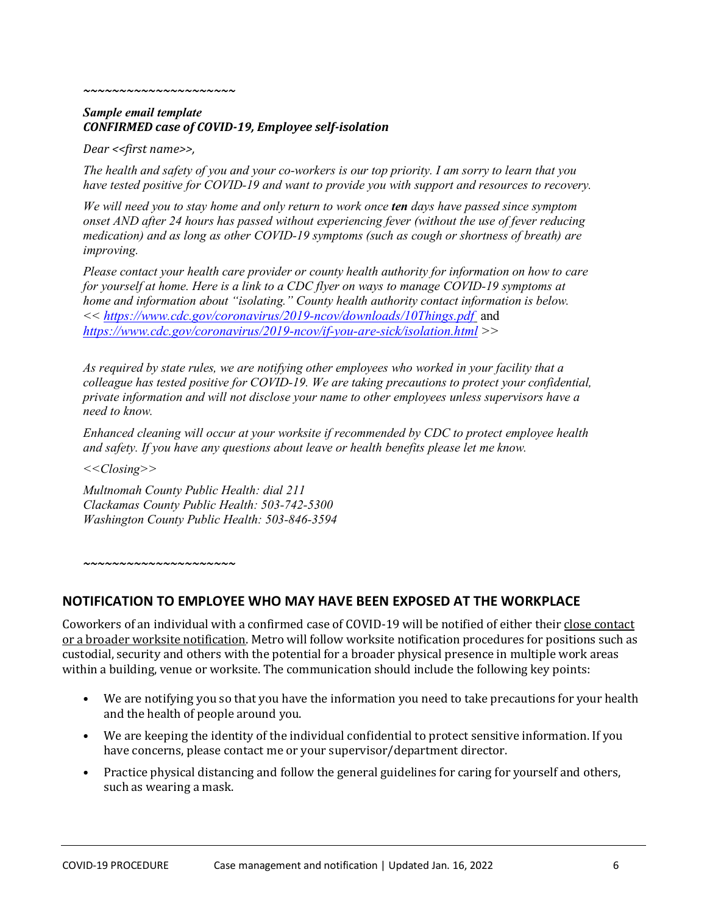## *~~~~~~~~~~~~~~~~~~~~~*

#### *Sample email template CONFIRMED case of COVID-19, Employee self-isolation*

*Dear <<first name>>,* 

*The health and safety of you and your co-workers is our top priority. I am sorry to learn that you have tested positive for COVID-19 and want to provide you with support and resources to recovery.* 

*We will need you to stay home and only return to work once ten days have passed since symptom onset AND after 24 hours has passed without experiencing fever (without the use of fever reducing medication) and as long as other COVID-19 symptoms (such as cough or shortness of breath) are improving.* 

*Please contact your health care provider or county health authority for information on how to care for yourself at home. Here is a link to a CDC flyer on ways to manage COVID-19 symptoms at home and information about "isolating." County health authority contact information is below. <<<https://www.cdc.gov/coronavirus/2019-ncov/downloads/10Things.pdf>* and *<https://www.cdc.gov/coronavirus/2019-ncov/if-you-are-sick/isolation.html> >>* 

*As required by state rules, we are notifying other employees who worked in your facility that a colleague has tested positive for COVID-19. We are taking precautions to protect your confidential, private information and will not disclose your name to other employees unless supervisors have a need to know.* 

*Enhanced cleaning will occur at your worksite if recommended by CDC to protect employee health and safety. If you have any questions about leave or health benefits please let me know.* 

*<<Closing>>* 

*Multnomah County Public Health: dial 211 Clackamas County Public Health: 503-742-5300 Washington County Public Health: 503-846-3594*

*~~~~~~~~~~~~~~~~~~~~~*

## **NOTIFICATION TO EMPLOYEE WHO MAY HAVE BEEN EXPOSED AT THE WORKPLACE**

Coworkers of an individual with a confirmed case of COVID-19 will be notified of either their close contact or a broader worksite notification. Metro will follow worksite notification procedures for positions such as custodial, security and others with the potential for a broader physical presence in multiple work areas within a building, venue or worksite. The communication should include the following key points:

- We are notifying you so that you have the information you need to take precautions for your health and the health of people around you.
- We are keeping the identity of the individual confidential to protect sensitive information. If you have concerns, please contact me or your supervisor/department director.
- Practice physical distancing and follow the general guidelines for caring for yourself and others, such as wearing a mask.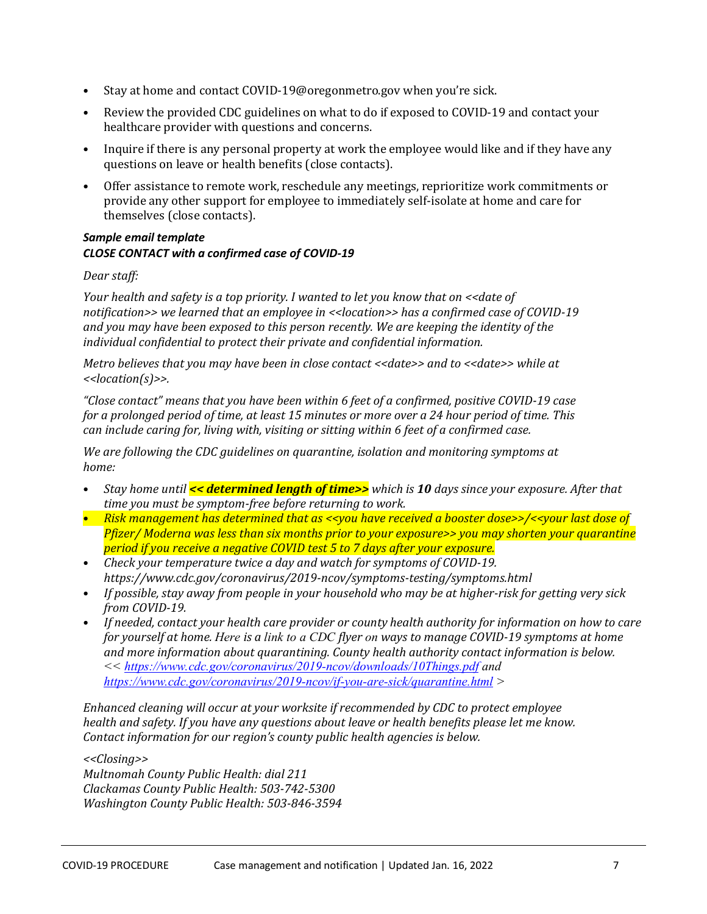- Stay at home and contact COVID-19@oregonmetro.gov when you're sick.
- Review the provided CDC guidelines on what to do if exposed to COVID-19 and contact your healthcare provider with questions and concerns.
- Inquire if there is any personal property at work the employee would like and if they have any questions on leave or health benefits (close contacts).
- Offer assistance to remote work, reschedule any meetings, reprioritize work commitments or provide any other support for employee to immediately self-isolate at home and care for themselves (close contacts).

## *Sample email template CLOSE CONTACT with a confirmed case of COVID-19*

## *Dear staff:*

*Your health and safety is a top priority. I wanted to let you know that on <<date of notification>> we learned that an employee in <<location>> has a confirmed case of COVID-19 and you may have been exposed to this person recently. We are keeping the identity of the individual confidential to protect their private and confidential information.* 

*Metro believes that you may have been in close contact <<date>> and to <<date>> while at <<location(s)>>.* 

*"Close contact" means that you have been within 6 feet of a confirmed, positive COVID-19 case for a prolonged period of time, at least 15 minutes or more over a 24 hour period of time. This can include caring for, living with, visiting or sitting within 6 feet of a confirmed case.* 

*We are following the CDC guidelines on quarantine, isolation and monitoring symptoms at home:* 

- *Stay home until << determined length of time>> which is 10 days since your exposure. After that time you must be symptom-free before returning to work.*
- *Risk management has determined that as <<you have received a booster dose>>/<<your last dose of Pfizer/ Moderna was less than six months prior to your exposure>> you may shorten your quarantine period if you receive a negative COVID test 5 to 7 days after your exposure.*
- *Check your temperature twice a day and watch for symptoms of COVID-19. https://www.cdc.gov/coronavirus/2019-ncov/symptoms-testing/symptoms.html*
- *If possible, stay away from people in your household who may be at higher-risk for getting very sick from COVID-19.*
- *If needed, contact your health care provider or county health authority for information on how to care for yourself at home. Here is a link to a CDC flyer on ways to manage COVID-19 symptoms at home and more information about quarantining. County health authority contact information is below. <<<https://www.cdc.gov/coronavirus/2019-ncov/downloads/10Things.pdf> and <https://www.cdc.gov/coronavirus/2019-ncov/if-you-are-sick/quarantine.html> >*

*Enhanced cleaning will occur at your worksite if recommended by CDC to protect employee health and safety. If you have any questions about leave or health benefits please let me know. Contact information for our region's county public health agencies is below.* 

*<<Closing>> Multnomah County Public Health: dial 211 Clackamas County Public Health: 503-742-5300 Washington County Public Health: 503-846-3594*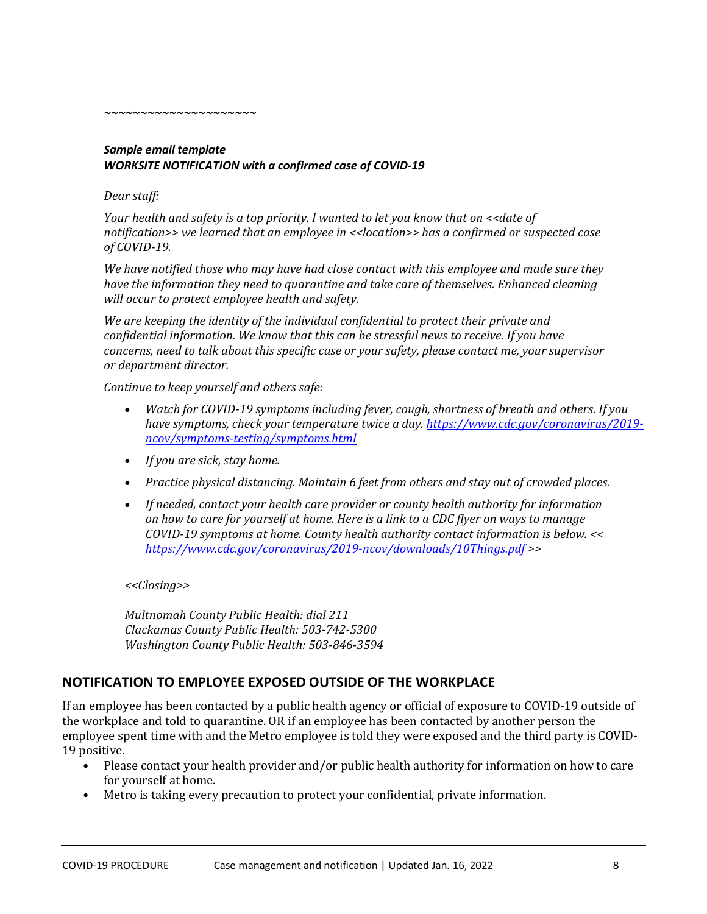*~~~~~~~~~~~~~~~~~~~~~*

## *Sample email template WORKSITE NOTIFICATION with a confirmed case of COVID-19*

## *Dear staff:*

*Your health and safety is a top priority. I wanted to let you know that on <<date of notification>> we learned that an employee in <<location>> has a confirmed or suspected case of COVID-19.* 

*We have notified those who may have had close contact with this employee and made sure they have the information they need to quarantine and take care of themselves. Enhanced cleaning will occur to protect employee health and safety.*

*We are keeping the identity of the individual confidential to protect their private and confidential information. We know that this can be stressful news to receive. If you have concerns, need to talk about this specific case or your safety, please contact me, your supervisor or department director.* 

*Continue to keep yourself and others safe:*

- *Watch for COVID-19 symptoms including fever, cough, shortness of breath and others. If you have symptoms, check your temperature twice a day. [https://www.cdc.gov/coronavirus/2019](https://www.cdc.gov/coronavirus/2019-ncov/symptoms-testing/symptoms.html) [ncov/symptoms-testing/symptoms.html](https://www.cdc.gov/coronavirus/2019-ncov/symptoms-testing/symptoms.html)*
- *If you are sick, stay home.*
- *Practice physical distancing. Maintain 6 feet from others and stay out of crowded places.*
- *If needed, contact your health care provider or county health authority for information on how to care for yourself at home. Here is a link to a CDC flyer on ways to manage COVID-19 symptoms at home. County health authority contact information is below. << <https://www.cdc.gov/coronavirus/2019-ncov/downloads/10Things.pdf> >>*

*<<Closing>>*

*Multnomah County Public Health: dial 211 Clackamas County Public Health: 503-742-5300 Washington County Public Health: 503-846-3594*

## **NOTIFICATION TO EMPLOYEE EXPOSED OUTSIDE OF THE WORKPLACE**

If an employee has been contacted by a public health agency or official of exposure to COVID-19 outside of the workplace and told to quarantine. OR if an employee has been contacted by another person the employee spent time with and the Metro employee is told they were exposed and the third party is COVID-19 positive.

- Please contact your health provider and/or public health authority for information on how to care for yourself at home.
- Metro is taking every precaution to protect your confidential, private information.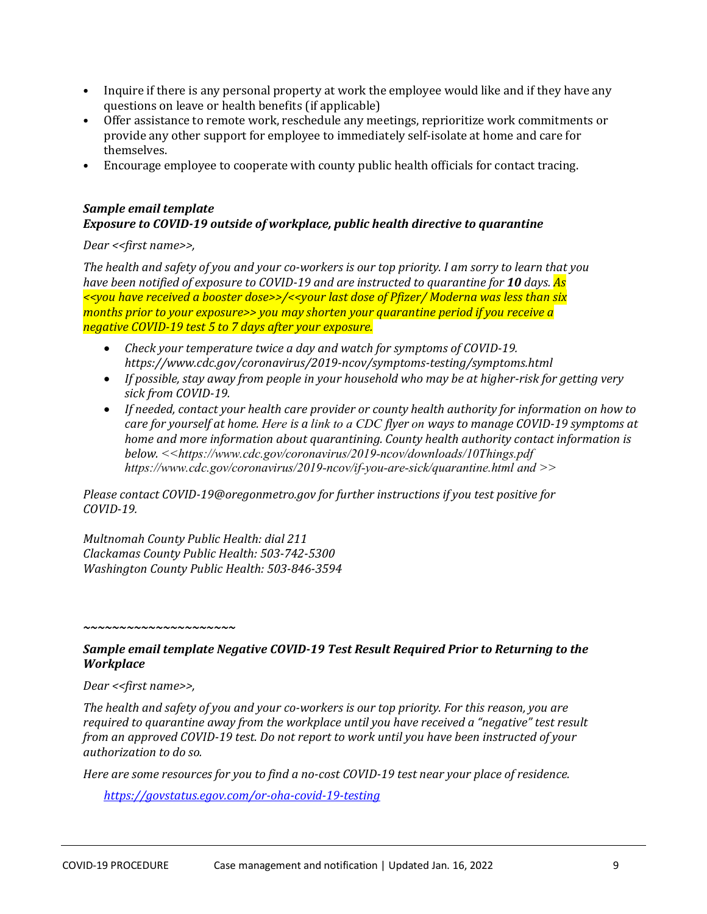- Inquire if there is any personal property at work the employee would like and if they have any questions on leave or health benefits (if applicable)
- Offer assistance to remote work, reschedule any meetings, reprioritize work commitments or provide any other support for employee to immediately self-isolate at home and care for themselves.
- Encourage employee to cooperate with county public health officials for contact tracing.

#### *Sample email template Exposure to COVID-19 outside of workplace, public health directive to quarantine*

*Dear <<first name>>,*

*The health and safety of you and your co-workers is our top priority. I am sorry to learn that you have been notified of exposure to COVID-19 and are instructed to quarantine for 10 days. As <<you have received a booster dose>>/<<your last dose of Pfizer/ Moderna was less than six months prior to your exposure>> you may shorten your quarantine period if you receive a negative COVID-19 test 5 to 7 days after your exposure.*

- *Check your temperature twice a day and watch for symptoms of COVID-19. https://www.cdc.gov/coronavirus/2019-ncov/symptoms-testing/symptoms.html*
- *If possible, stay away from people in your household who may be at higher-risk for getting very sick from COVID-19.*
- *If needed, contact your health care provider or county health authority for information on how to care for yourself at home. Here is a link to a CDC flyer on ways to manage COVID-19 symptoms at home and more information about quarantining. County health authority contact information is below. <<https://www.cdc.gov/coronavirus/2019-ncov/downloads/10Things.pdf https://www.cdc.gov/coronavirus/2019-ncov/if-you-are-sick/quarantine.html and >>*

*Please contact COVID-19@oregonmetro.gov for further instructions if you test positive for COVID-19.* 

*Multnomah County Public Health: dial 211 Clackamas County Public Health: 503-742-5300 Washington County Public Health: 503-846-3594*

*~~~~~~~~~~~~~~~~~~~~~*

## *Sample email template Negative COVID-19 Test Result Required Prior to Returning to the Workplace*

*Dear <<first name>>,* 

*The health and safety of you and your co-workers is our top priority. For this reason, you are required to quarantine away from the workplace until you have received a "negative" test result from an approved COVID-19 test. Do not report to work until you have been instructed of your authorization to do so.* 

*Here are some resources for you to find a no-cost COVID-19 test near your place of residence.* 

*<https://govstatus.egov.com/or-oha-covid-19-testing>*